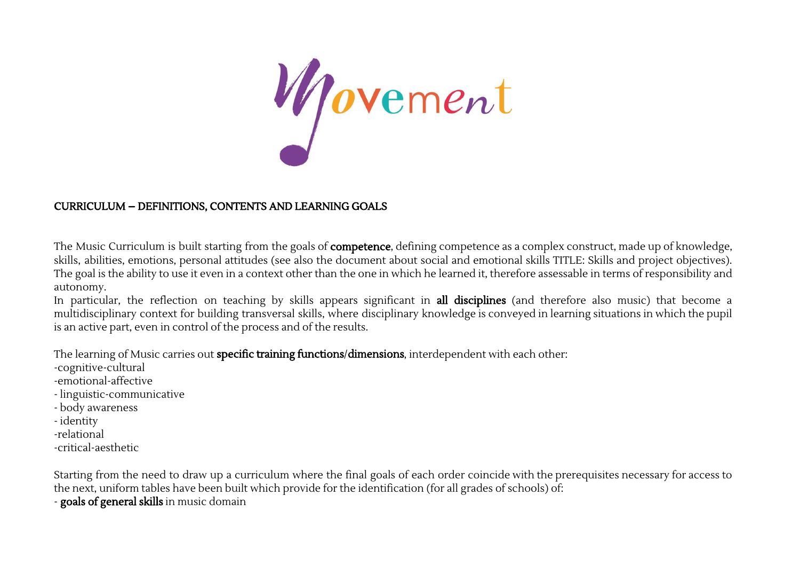

## CURRICULUM – DEFINITIONS, CONTENTS AND LEARNING GOALS

The Music Curriculum is built starting from the goals of **competence**, defining competence as a complex construct, made up of knowledge, skills, abilities, emotions, personal attitudes (see also the document about social and emotional skills TITLE: Skills and project objectives). The goal is the ability to use it even in a context other than the one in which he learned it, therefore assessable in terms of responsibility and autonomy.

In particular, the reflection on teaching by skills appears significant in **all disciplines** (and therefore also music) that become a multidisciplinary context for building transversal skills, where disciplinary knowledge is conveyed in learning situations in which the pupil is an active part, even in control of the process and of the results.

The learning of Music carries out specific training functions/dimensions, interdependent with each other:

- -cognitive-cultural
- -emotional-affective
- linguistic-communicative
- body awareness
- identity
- -relational
- -critical-aesthetic

Starting from the need to draw up a curriculum where the final goals of each order coincide with the prerequisites necessary for access to the next, uniform tables have been built which provide for the identification (for all grades of schools) of: - goals of general skills in music domain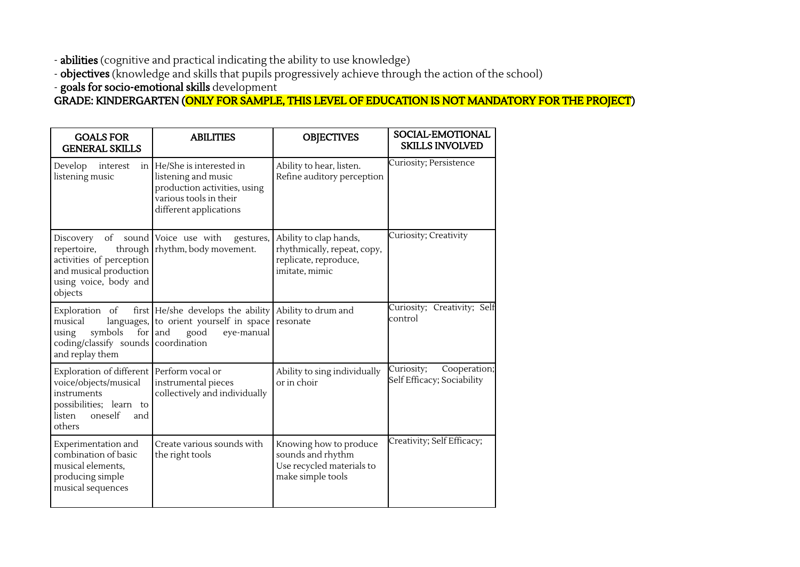- **abilities** (cognitive and practical indicating the ability to use knowledge)

- **objectives** (knowledge and skills that pupils progressively achieve through the action of the school)

- goals for socio-emotional skills development

GRADE: KINDERGARTEN (ONLY FOR SAMPLE, THIS LEVEL OF EDUCATION IS NOT MANDATORY FOR THE PROJECT)

| <b>GOALS FOR</b><br><b>GENERAL SKILLS</b> |                                                                                                                                                      | <b>ABILITIES</b>                                                                                                                      | <b>OBJECTIVES</b>                                                                                | SOCIAL-EMOTIONAL<br><b>SKILLS INVOLVED</b>               |
|-------------------------------------------|------------------------------------------------------------------------------------------------------------------------------------------------------|---------------------------------------------------------------------------------------------------------------------------------------|--------------------------------------------------------------------------------------------------|----------------------------------------------------------|
|                                           | Develop<br>interest<br>listening music                                                                                                               | in He/She is interested in<br>listening and music<br>production activities, using<br>various tools in their<br>different applications | Ability to hear, listen.<br>Refine auditory perception                                           | Curiosity; Persistence                                   |
|                                           | Discovery of sound Voice use with<br>repertoire,<br>activities of perception<br>and musical production<br>using voice, body and<br>objects           | gestures,<br>through   rhythm, body movement.                                                                                         | Ability to clap hands,<br>rhythmically, repeat, copy,<br>replicate, reproduce,<br>imitate, mimic | Curiosity; Creativity                                    |
|                                           | Exploration of<br>musical<br>symbols<br>using<br>coding/classify sounds   coordination<br>and replay them                                            | first He/she develops the ability<br>languages, to orient yourself in space<br>for $ $ and<br>good<br>eye-manual                      | Ability to drum and<br>resonate                                                                  | Curiosity; Creativity; Self<br>control                   |
|                                           | Exploration of different   Perform vocal or<br>voice/objects/musical<br>instruments<br>possibilities; learn to<br>oneself<br>listen<br>and<br>others | instrumental pieces<br>collectively and individually                                                                                  | Ability to sing individually<br>or in choir                                                      | Curiosity;<br>Cooperation;<br>Self Efficacy; Sociability |
|                                           | Experimentation and<br>combination of basic<br>musical elements,<br>producing simple<br>musical sequences                                            | Create various sounds with<br>the right tools                                                                                         | Knowing how to produce<br>sounds and rhythm<br>Use recycled materials to<br>make simple tools    | Creativity; Self Efficacy;                               |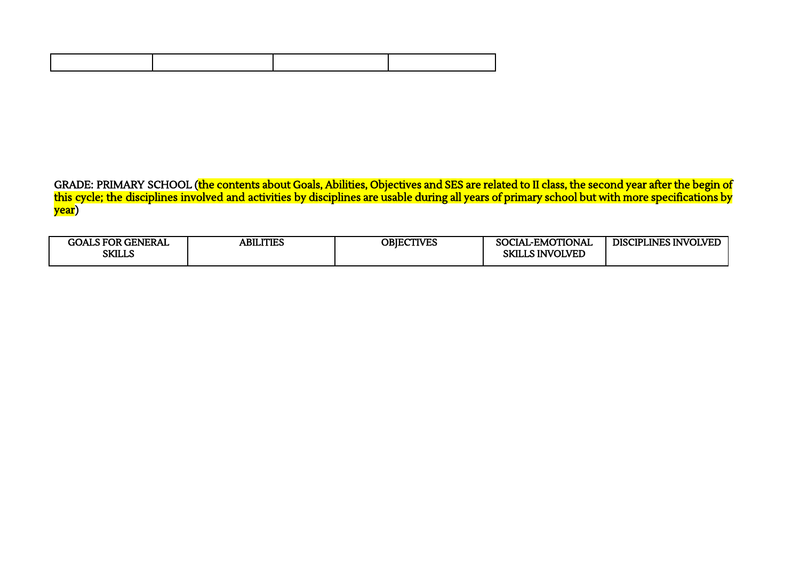GRADE: PRIMARY SCHOOL (<mark>the contents about Goals, Abilities, Objectives and SES are related to II class, the second year after the begin of</mark> this cycle; the disciplines involved and activities by disciplines are usable during all years of primary school but with more specifications by year)

| <b>GENERAL</b><br>GOLS FOR C<br><b>SKILLS</b> | ABILITIES | OBIECTIVES | <b>MOTIONAL</b><br><u>тъ</u><br>SO C<br>LIALEMO'<br>LLS INVOLVED<br>cv<br>בתכ | PLINES INVOLVED<br>IPI:<br><b>DISC</b> |
|-----------------------------------------------|-----------|------------|-------------------------------------------------------------------------------|----------------------------------------|
|                                               |           |            |                                                                               |                                        |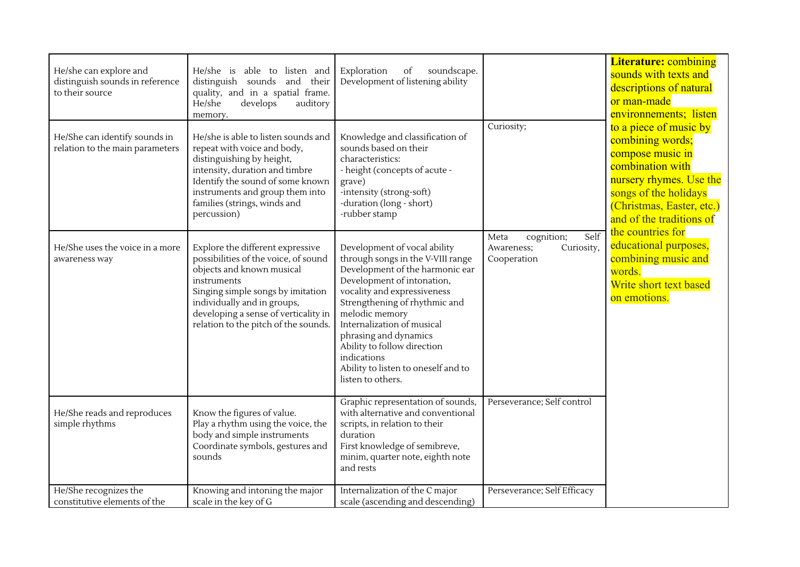| He/she can explore and<br>distinguish sounds in reference<br>to their source<br>He/She can identify sounds in<br>relation to the main parameters | He/she is able to listen and<br>distinguish sounds and their<br>quality, and in a spatial frame.<br>He/she<br>develops<br>auditory<br>memory.<br>He/she is able to listen sounds and<br>repeat with voice and body,<br>distinguishing by height,<br>intensity, duration and timbre<br>Identify the sound of some known<br>instruments and group them into<br>families (strings, winds and<br>percussion) | Exploration<br>soundscape.<br>of<br>Development of listening ability<br>Knowledge and classification of<br>sounds based on their<br>characteristics:<br>- height (concepts of acute -<br>grave)<br>-intensity (strong-soft)<br>-duration (long - short)<br>-rubber stamp                                                                                                              | Curiosity;                                                            | <b>Literature: combining</b><br>sounds with texts and<br>descriptions of natural<br>or man-made<br>environnements; listen<br>to a piece of music by<br>combining words;<br>compose music in<br>combination with<br>nursery rhymes. Use the<br>songs of the holidays<br>(Christmas, Easter, etc.)<br>and of the traditions of |
|--------------------------------------------------------------------------------------------------------------------------------------------------|----------------------------------------------------------------------------------------------------------------------------------------------------------------------------------------------------------------------------------------------------------------------------------------------------------------------------------------------------------------------------------------------------------|---------------------------------------------------------------------------------------------------------------------------------------------------------------------------------------------------------------------------------------------------------------------------------------------------------------------------------------------------------------------------------------|-----------------------------------------------------------------------|------------------------------------------------------------------------------------------------------------------------------------------------------------------------------------------------------------------------------------------------------------------------------------------------------------------------------|
| He/She uses the voice in a more<br>awareness way                                                                                                 | Explore the different expressive<br>possibilities of the voice, of sound<br>objects and known musical<br>instruments<br>Singing simple songs by imitation<br>individually and in groups,<br>developing a sense of verticality in<br>relation to the pitch of the sounds.                                                                                                                                 | Development of vocal ability<br>through songs in the V-VIII range<br>Development of the harmonic ear<br>Development of intonation,<br>vocality and expressiveness<br>Strengthening of rhythmic and<br>melodic memory<br>Internalization of musical<br>phrasing and dynamics<br>Ability to follow direction<br>indications<br>Ability to listen to oneself and to<br>listen to others. | Self<br>cognition;<br>Meta<br>Curiosity,<br>Awareness;<br>Cooperation | the countries for<br>educational purposes,<br>combining music and<br>words.<br>Write short text based<br>on emotions.                                                                                                                                                                                                        |
| He/She reads and reproduces<br>simple rhythms                                                                                                    | Know the figures of value.<br>Play a rhythm using the voice, the<br>body and simple instruments<br>Coordinate symbols, gestures and<br>sounds                                                                                                                                                                                                                                                            | Graphic representation of sounds,<br>with alternative and conventional<br>scripts, in relation to their<br>duration<br>First knowledge of semibreve,<br>minim, quarter note, eighth note<br>and rests                                                                                                                                                                                 | Perseverance; Self control                                            |                                                                                                                                                                                                                                                                                                                              |
| He/She recognizes the<br>constitutive elements of the                                                                                            | Knowing and intoning the major<br>scale in the key of G                                                                                                                                                                                                                                                                                                                                                  | Internalization of the C major<br>scale (ascending and descending)                                                                                                                                                                                                                                                                                                                    | Perseverance; Self Efficacy                                           |                                                                                                                                                                                                                                                                                                                              |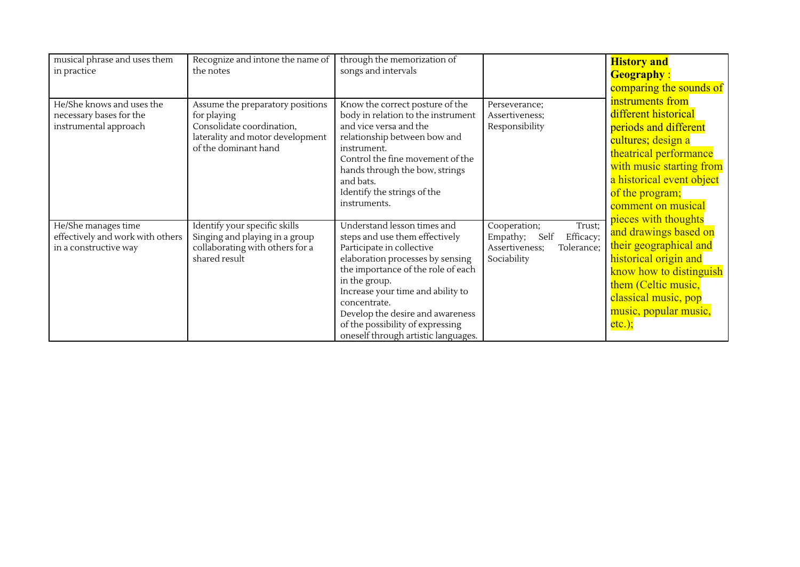| musical phrase and uses them<br>in practice                                      | Recognize and intone the name of<br>the notes                                                                                            | through the memorization of<br>songs and intervals                                                                                                                                                                                                                                                                                                        |                                                                                                        | <b>History and</b><br><b>Geography:</b><br>comparing the sounds of                                                                                                                                                                          |
|----------------------------------------------------------------------------------|------------------------------------------------------------------------------------------------------------------------------------------|-----------------------------------------------------------------------------------------------------------------------------------------------------------------------------------------------------------------------------------------------------------------------------------------------------------------------------------------------------------|--------------------------------------------------------------------------------------------------------|---------------------------------------------------------------------------------------------------------------------------------------------------------------------------------------------------------------------------------------------|
| He/She knows and uses the<br>necessary bases for the<br>instrumental approach    | Assume the preparatory positions<br>for playing<br>Consolidate coordination,<br>laterality and motor development<br>of the dominant hand | Know the correct posture of the<br>body in relation to the instrument<br>and vice versa and the<br>relationship between bow and<br>instrument.<br>Control the fine movement of the<br>hands through the bow, strings<br>and bats.<br>Identify the strings of the<br>instruments.                                                                          | Perseverance;<br>Assertiveness;<br>Responsibility                                                      | instruments from<br>different historical<br>periods and different<br>cultures; design a<br>theatrical performance<br>with music starting from<br>a historical event object<br>of the program;<br>comment on musical<br>pieces with thoughts |
| He/She manages time<br>effectively and work with others<br>in a constructive way | Identify your specific skills<br>Singing and playing in a group<br>collaborating with others for a<br>shared result                      | Understand lesson times and<br>steps and use them effectively<br>Participate in collective<br>elaboration processes by sensing<br>the importance of the role of each<br>in the group.<br>Increase your time and ability to<br>concentrate.<br>Develop the desire and awareness<br>of the possibility of expressing<br>oneself through artistic languages. | Trust;<br>Cooperation;<br>Efficacy;<br>Empathy;<br>Self<br>Assertiveness;<br>Tolerance;<br>Sociability | and drawings based on<br>their geographical and<br>historical origin and<br>know how to distinguish<br>them (Celtic music,<br>classical music, pop<br>music, popular music,<br>$etc.$ );                                                    |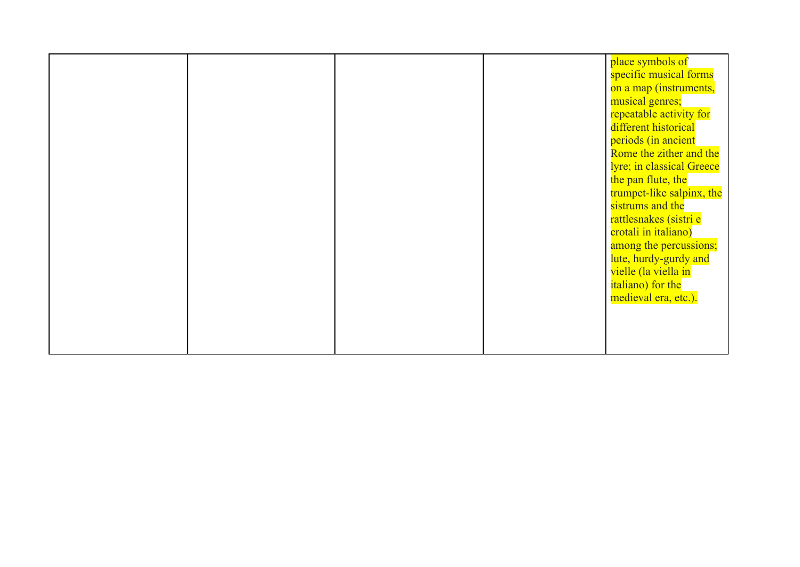|  |  | place symbols of          |
|--|--|---------------------------|
|  |  | specific musical forms    |
|  |  | on a map (instruments,    |
|  |  | musical genres;           |
|  |  | repeatable activity for   |
|  |  | different historical      |
|  |  | periods (in ancient       |
|  |  |                           |
|  |  | Rome the zither and the   |
|  |  | lyre; in classical Greece |
|  |  | the pan flute, the        |
|  |  | trumpet-like salpinx, the |
|  |  | sistrums and the          |
|  |  | rattlesnakes (sistri e    |
|  |  | crotali in italiano)      |
|  |  | among the percussions;    |
|  |  | lute, hurdy-gurdy and     |
|  |  | vielle (la viella in      |
|  |  | italiano) for the         |
|  |  | medieval era, etc.).      |
|  |  |                           |
|  |  |                           |
|  |  |                           |
|  |  |                           |
|  |  |                           |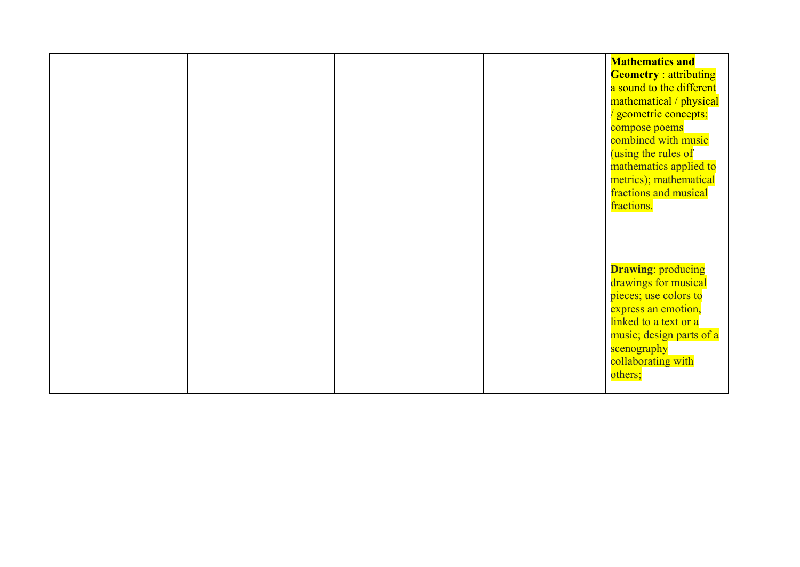|  |  | <b>Mathematics and</b><br><b>Geometry</b> : attributing<br>a sound to the different<br>mathematical / physical<br>/ geometric concepts;<br>compose poems<br>combined with music<br>(using the rules of<br>mathematics applied to<br>metrics); mathematical<br>fractions and musical<br>fractions. |
|--|--|---------------------------------------------------------------------------------------------------------------------------------------------------------------------------------------------------------------------------------------------------------------------------------------------------|
|  |  | <b>Drawing: producing</b><br>drawings for musical<br>pieces; use colors to<br>express an emotion,<br>linked to a text or a<br>music; design parts of a<br>scenography<br>collaborating with<br>others;                                                                                            |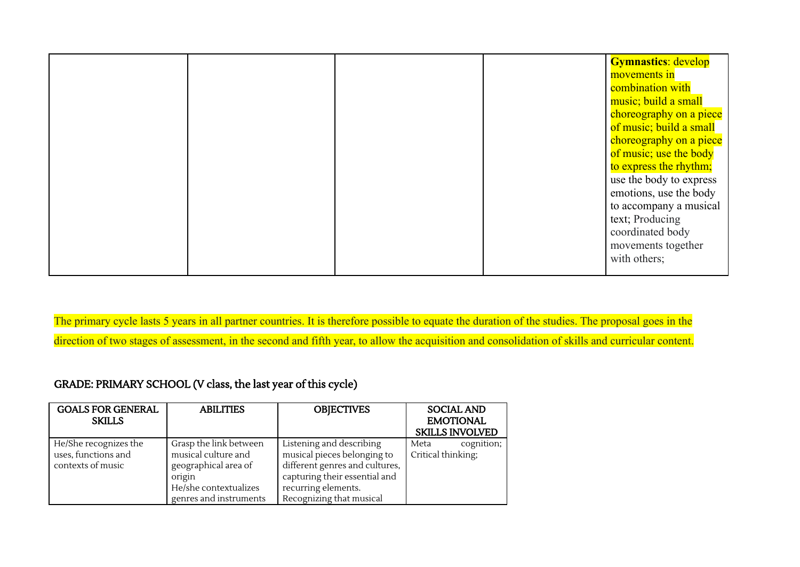|  |  | <b>Gymnastics: develop</b> |
|--|--|----------------------------|
|  |  | movements in               |
|  |  | combination with           |
|  |  | music; build a small       |
|  |  | choreography on a piece    |
|  |  | of music; build a small    |
|  |  | choreography on a piece    |
|  |  | of music; use the body     |
|  |  | to express the rhythm;     |
|  |  | use the body to express    |
|  |  | emotions, use the body     |
|  |  | to accompany a musical     |
|  |  | text; Producing            |
|  |  | coordinated body           |
|  |  | movements together         |
|  |  | with others;               |
|  |  |                            |

The primary cycle lasts 5 years in all partner countries. It is therefore possible to equate the duration of the studies. The proposal goes in the direction of two stages of assessment, in the second and fifth year, to allow the acquisition and consolidation of skills and curricular content.

GRADE: PRIMARY SCHOOL (V class, the last year of this cycle)

| <b>GOALS FOR GENERAL</b><br><b>SKILLS</b> | <b>ABILITIES</b>       | <b>OBJECTIVES</b>              | <b>SOCIAL AND</b><br><b>EMOTIONAL</b><br><b>SKILLS INVOLVED</b> |
|-------------------------------------------|------------------------|--------------------------------|-----------------------------------------------------------------|
| He/She recognizes the                     | Grasp the link between | Listening and describing       | cognition;<br>Meta                                              |
| uses, functions and                       | musical culture and    | musical pieces belonging to    | Critical thinking;                                              |
| contexts of music                         | geographical area of   | different genres and cultures, |                                                                 |
|                                           | origin                 | capturing their essential and  |                                                                 |
|                                           | He/she contextualizes  | recurring elements.            |                                                                 |
|                                           | genres and instruments | Recognizing that musical       |                                                                 |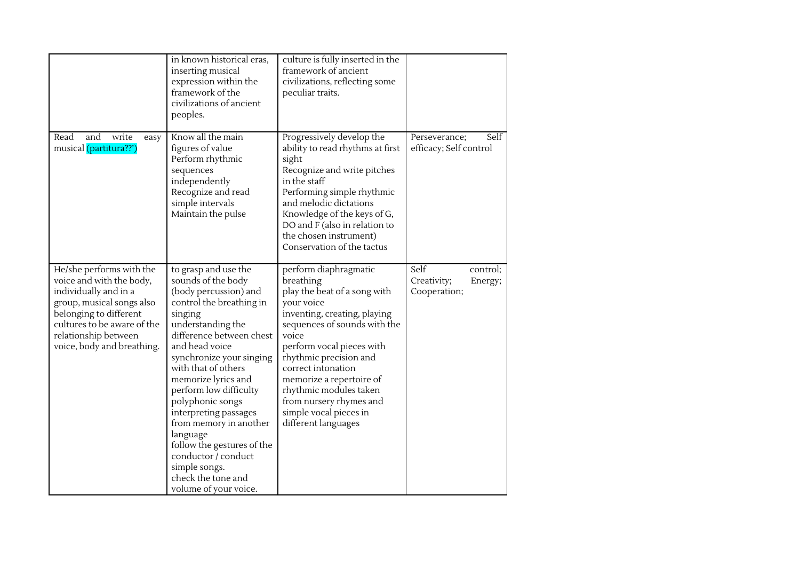|                                                                                                                                                                                                                           | in known historical eras,<br>inserting musical<br>expression within the<br>framework of the<br>civilizations of ancient<br>peoples.                                                                                                                                                                                                                                                                                                                                                       | culture is fully inserted in the<br>framework of ancient<br>civilizations, reflecting some<br>peculiar traits.                                                                                                                                                                                                                                                           |                                                            |
|---------------------------------------------------------------------------------------------------------------------------------------------------------------------------------------------------------------------------|-------------------------------------------------------------------------------------------------------------------------------------------------------------------------------------------------------------------------------------------------------------------------------------------------------------------------------------------------------------------------------------------------------------------------------------------------------------------------------------------|--------------------------------------------------------------------------------------------------------------------------------------------------------------------------------------------------------------------------------------------------------------------------------------------------------------------------------------------------------------------------|------------------------------------------------------------|
| Read<br>and<br>write<br>easy<br>musical (partitura??')                                                                                                                                                                    | Know all the main<br>figures of value<br>Perform rhythmic<br>sequences<br>independently<br>Recognize and read<br>simple intervals<br>Maintain the pulse                                                                                                                                                                                                                                                                                                                                   | Progressively develop the<br>ability to read rhythms at first<br>sight<br>Recognize and write pitches<br>in the staff<br>Performing simple rhythmic<br>and melodic dictations<br>Knowledge of the keys of G,<br>DO and F (also in relation to<br>the chosen instrument)<br>Conservation of the tactus                                                                    | Self<br>Perseverance;<br>efficacy; Self control            |
| He/she performs with the<br>voice and with the body,<br>individually and in a<br>group, musical songs also<br>belonging to different<br>cultures to be aware of the<br>relationship between<br>voice, body and breathing. | to grasp and use the<br>sounds of the body<br>(body percussion) and<br>control the breathing in<br>singing<br>understanding the<br>difference between chest<br>and head voice<br>synchronize your singing<br>with that of others<br>memorize lyrics and<br>perform low difficulty<br>polyphonic songs<br>interpreting passages<br>from memory in another<br>language<br>follow the gestures of the<br>conductor / conduct<br>simple songs.<br>check the tone and<br>volume of your voice. | perform diaphragmatic<br>breathing<br>play the beat of a song with<br>your voice<br>inventing, creating, playing<br>sequences of sounds with the<br>voice<br>perform vocal pieces with<br>rhythmic precision and<br>correct intonation<br>memorize a repertoire of<br>rhythmic modules taken<br>from nursery rhymes and<br>simple vocal pieces in<br>different languages | Self<br>control;<br>Creativity;<br>Energy;<br>Cooperation; |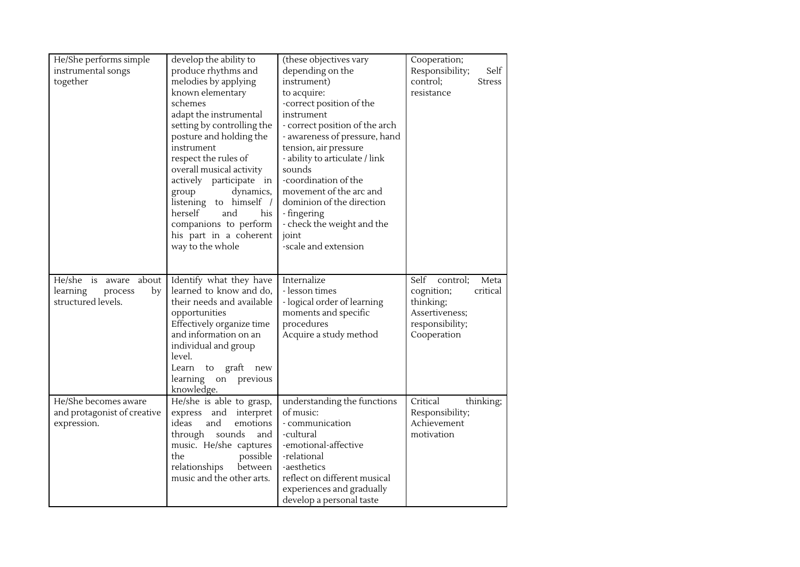| He/She performs simple<br>instrumental songs<br>together                    | develop the ability to<br>produce rhythms and<br>melodies by applying<br>known elementary<br>schemes<br>adapt the instrumental<br>setting by controlling the<br>posture and holding the<br>instrument<br>respect the rules of<br>overall musical activity<br>actively participate<br>in<br>dynamics,<br>group<br>listening to himself /<br>herself<br>and<br>his<br>companions to perform<br>his part in a coherent<br>way to the whole | (these objectives vary<br>depending on the<br>instrument)<br>to acquire:<br>-correct position of the<br>instrument<br>- correct position of the arch<br>- awareness of pressure, hand<br>tension, air pressure<br>- ability to articulate / link<br>sounds<br>-coordination of the<br>movement of the arc and<br>dominion of the direction<br>- fingering<br>- check the weight and the<br>joint<br>-scale and extension | Cooperation;<br>Responsibility;<br>Self<br>control;<br><b>Stress</b><br>resistance                                  |
|-----------------------------------------------------------------------------|-----------------------------------------------------------------------------------------------------------------------------------------------------------------------------------------------------------------------------------------------------------------------------------------------------------------------------------------------------------------------------------------------------------------------------------------|--------------------------------------------------------------------------------------------------------------------------------------------------------------------------------------------------------------------------------------------------------------------------------------------------------------------------------------------------------------------------------------------------------------------------|---------------------------------------------------------------------------------------------------------------------|
| He/she is aware<br>about<br>learning<br>by<br>process<br>structured levels. | Identify what they have<br>learned to know and do,<br>their needs and available<br>opportunities<br>Effectively organize time<br>and information on an<br>individual and group<br>level.<br>graft<br>Learn<br>to<br>new<br>learning on previous<br>knowledge.                                                                                                                                                                           | Internalize<br>- lesson times<br>- logical order of learning<br>moments and specific<br>procedures<br>Acquire a study method                                                                                                                                                                                                                                                                                             | Self<br>control;<br>Meta<br>cognition;<br>critical<br>thinking;<br>Assertiveness;<br>responsibility;<br>Cooperation |
| He/She becomes aware<br>and protagonist of creative<br>expression.          | He/she is able to grasp,<br>interpret<br>express<br>and<br>ideas<br>and<br>emotions<br>through<br>sounds<br>and<br>music. He/she captures<br>the<br>possible<br>relationships<br>between<br>music and the other arts.                                                                                                                                                                                                                   | understanding the functions<br>of music:<br>- communication<br>-cultural<br>-emotional-affective<br>-relational<br>-aesthetics<br>reflect on different musical<br>experiences and gradually<br>develop a personal taste                                                                                                                                                                                                  | Critical<br>thinking;<br>Responsibility;<br>Achievement<br>motivation                                               |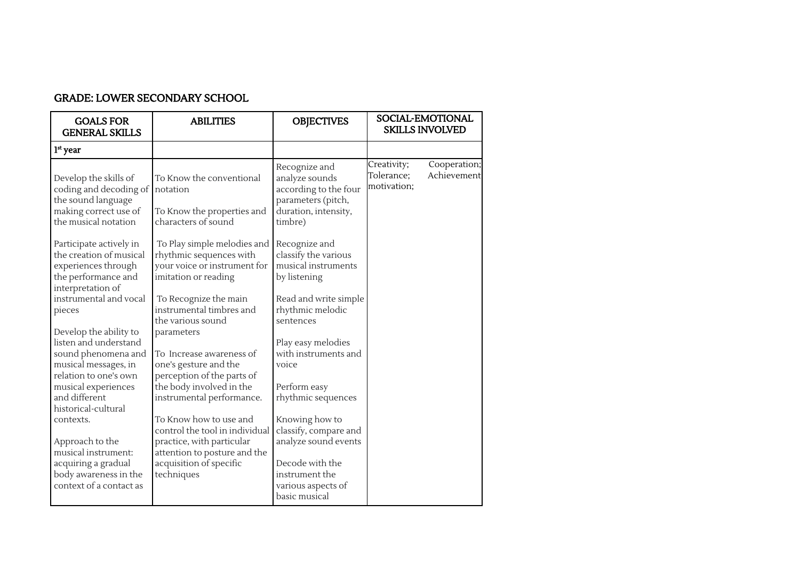| <b>GOALS FOR</b><br><b>GENERAL SKILLS</b>                                                                               | <b>ABILITIES</b>                                                                                                                                 | <b>OBJECTIVES</b>                                                                                                 |                                          | SOCIAL-EMOTIONAL<br><b>SKILLS INVOLVED</b> |
|-------------------------------------------------------------------------------------------------------------------------|--------------------------------------------------------------------------------------------------------------------------------------------------|-------------------------------------------------------------------------------------------------------------------|------------------------------------------|--------------------------------------------|
| $1st$ year                                                                                                              |                                                                                                                                                  |                                                                                                                   |                                          |                                            |
| Develop the skills of<br>coding and decoding of<br>the sound language<br>making correct use of<br>the musical notation  | To Know the conventional<br>notation<br>To Know the properties and<br>characters of sound                                                        | Recognize and<br>analyze sounds<br>according to the four<br>parameters (pitch,<br>duration, intensity,<br>timbre) | Creativity;<br>Tolerance;<br>motivation; | Cooperation;<br>Achievement                |
| Participate actively in<br>the creation of musical<br>experiences through<br>the performance and<br>interpretation of   | To Play simple melodies and<br>rhythmic sequences with<br>your voice or instrument for<br>imitation or reading                                   | Recognize and<br>classify the various<br>musical instruments<br>by listening                                      |                                          |                                            |
| instrumental and vocal<br>pieces                                                                                        | To Recognize the main<br>instrumental timbres and<br>the various sound                                                                           | Read and write simple<br>rhythmic melodic<br>sentences                                                            |                                          |                                            |
| Develop the ability to<br>listen and understand<br>sound phenomena and<br>musical messages, in<br>relation to one's own | parameters<br>To Increase awareness of<br>one's gesture and the<br>perception of the parts of                                                    | Play easy melodies<br>with instruments and<br>voice                                                               |                                          |                                            |
| musical experiences<br>and different<br>historical-cultural                                                             | the body involved in the<br>instrumental performance.                                                                                            | Perform easy<br>rhythmic sequences                                                                                |                                          |                                            |
| contexts.<br>Approach to the<br>musical instrument:<br>acquiring a gradual                                              | To Know how to use and<br>control the tool in individual<br>practice, with particular<br>attention to posture and the<br>acquisition of specific | Knowing how to<br>classify, compare and<br>analyze sound events<br>Decode with the                                |                                          |                                            |

instrument the various aspects of basic musical

## GRADE: LOWER SECONDARY SCHOOL

body awareness in the context of a contact as techniques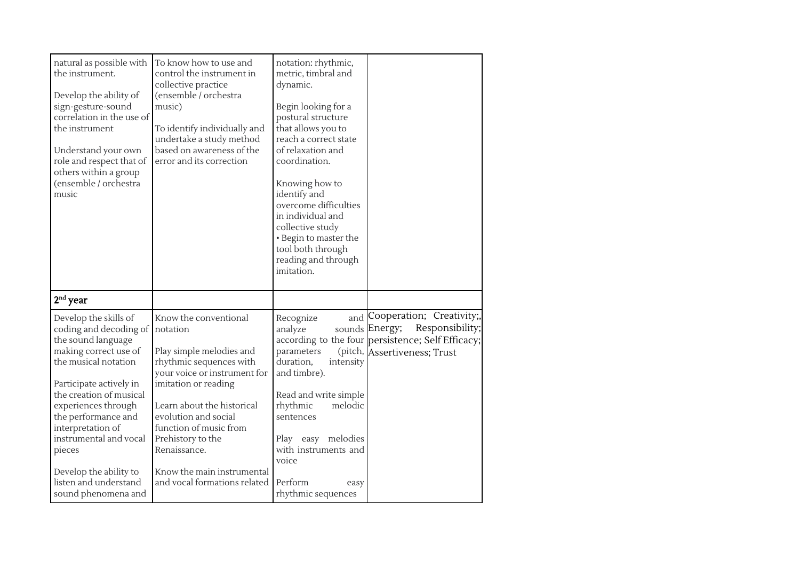| natural as possible with<br>the instrument.<br>Develop the ability of<br>sign-gesture-sound<br>correlation in the use of<br>the instrument<br>Understand your own<br>role and respect that of<br>others within a group<br>(ensemble / orchestra<br>music                                                                                                      | To know how to use and<br>control the instrument in<br>collective practice<br>(ensemble / orchestra<br>music)<br>To identify individually and<br>undertake a study method<br>based on awareness of the<br>error and its correction                                                                                                  | notation: rhythmic,<br>metric, timbral and<br>dynamic.<br>Begin looking for a<br>postural structure<br>that allows you to<br>reach a correct state<br>of relaxation and<br>coordination.<br>Knowing how to<br>identify and<br>overcome difficulties<br>in individual and<br>collective study<br>• Begin to master the<br>tool both through<br>reading and through<br>imitation. |                                                                                                                                                         |
|---------------------------------------------------------------------------------------------------------------------------------------------------------------------------------------------------------------------------------------------------------------------------------------------------------------------------------------------------------------|-------------------------------------------------------------------------------------------------------------------------------------------------------------------------------------------------------------------------------------------------------------------------------------------------------------------------------------|---------------------------------------------------------------------------------------------------------------------------------------------------------------------------------------------------------------------------------------------------------------------------------------------------------------------------------------------------------------------------------|---------------------------------------------------------------------------------------------------------------------------------------------------------|
| $2nd$ year                                                                                                                                                                                                                                                                                                                                                    |                                                                                                                                                                                                                                                                                                                                     |                                                                                                                                                                                                                                                                                                                                                                                 |                                                                                                                                                         |
| Develop the skills of<br>coding and decoding of<br>the sound language<br>making correct use of<br>the musical notation<br>Participate actively in<br>the creation of musical<br>experiences through<br>the performance and<br>interpretation of<br>instrumental and vocal<br>pieces<br>Develop the ability to<br>listen and understand<br>sound phenomena and | Know the conventional<br>notation<br>Play simple melodies and<br>rhythmic sequences with<br>your voice or instrument for<br>imitation or reading<br>Learn about the historical<br>evolution and social<br>function of music from<br>Prehistory to the<br>Renaissance.<br>Know the main instrumental<br>and vocal formations related | Recognize<br>analyze<br>parameters<br>duration,<br>intensity<br>and timbre).<br>Read and write simple<br>rhythmic<br>melodic<br>sentences<br>Play<br>easy melodies<br>with instruments and<br>voice<br>Perform<br>easy<br>rhythmic sequences                                                                                                                                    | and Cooperation; Creativity;,<br>Responsibility;<br>sounds Energy;<br>according to the four persistence; Self Efficacy;<br>(pitch, Assertiveness; Trust |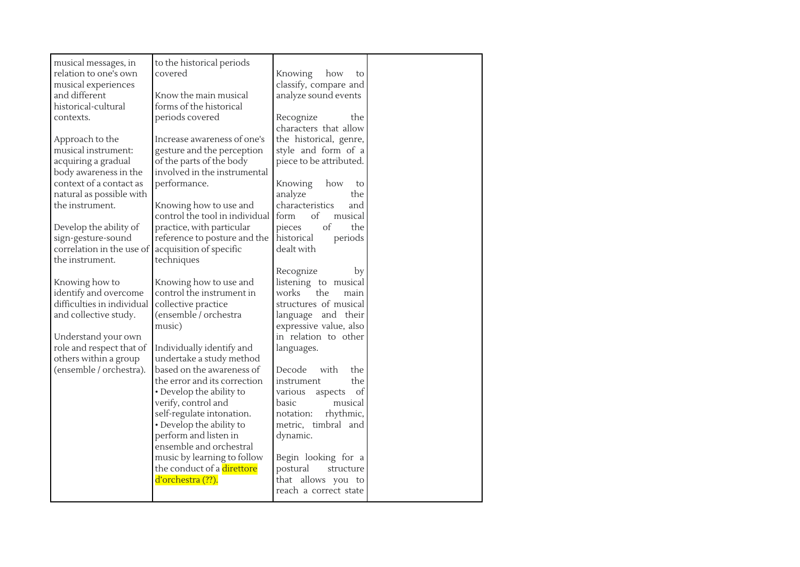| musical messages, in<br>relation to one's own<br>musical experiences | to the historical periods<br>covered                  | Knowing<br>how<br>to<br>classify, compare and |  |
|----------------------------------------------------------------------|-------------------------------------------------------|-----------------------------------------------|--|
| and different<br>historical-cultural                                 | Know the main musical<br>forms of the historical      | analyze sound events                          |  |
| contexts.                                                            | periods covered                                       | Recognize<br>the                              |  |
|                                                                      |                                                       | characters that allow                         |  |
| Approach to the                                                      | Increase awareness of one's                           | the historical, genre,                        |  |
| musical instrument:                                                  | gesture and the perception                            | style and form of a                           |  |
| acquiring a gradual                                                  | of the parts of the body                              | piece to be attributed.                       |  |
| body awareness in the                                                | involved in the instrumental                          |                                               |  |
| context of a contact as                                              | performance.                                          | Knowing<br>how<br>to                          |  |
| natural as possible with<br>the instrument.                          | Knowing how to use and                                | analyze<br>the<br>characteristics<br>and      |  |
|                                                                      | control the tool in individual                        | of<br>form<br>musical                         |  |
| Develop the ability of                                               | practice, with particular                             | of<br>pieces<br>the                           |  |
| sign-gesture-sound                                                   | reference to posture and the                          | periods<br>historical                         |  |
| correlation in the use of                                            | acquisition of specific                               | dealt with                                    |  |
| the instrument.                                                      | techniques                                            |                                               |  |
|                                                                      |                                                       | Recognize<br>by                               |  |
| Knowing how to                                                       | Knowing how to use and                                | listening to musical                          |  |
| identify and overcome                                                | control the instrument in                             | works<br>the<br>main                          |  |
| difficulties in individual<br>and collective study.                  | collective practice<br>(ensemble / orchestra          | structures of musical<br>language and their   |  |
|                                                                      | music)                                                | expressive value, also                        |  |
| Understand your own                                                  |                                                       | in relation to other                          |  |
| role and respect that of                                             | Individually identify and                             | languages.                                    |  |
| others within a group                                                | undertake a study method                              |                                               |  |
| (ensemble / orchestra).                                              | based on the awareness of                             | Decode<br>with<br>the                         |  |
|                                                                      | the error and its correction                          | the<br>instrument                             |  |
|                                                                      | • Develop the ability to                              | various aspects<br>of                         |  |
|                                                                      | verify, control and                                   | basic<br>musical                              |  |
|                                                                      | self-regulate intonation.<br>• Develop the ability to | rhythmic,<br>notation:<br>metric, timbral and |  |
|                                                                      | perform and listen in                                 | dynamic.                                      |  |
|                                                                      | ensemble and orchestral                               |                                               |  |
|                                                                      | music by learning to follow                           | Begin looking for a                           |  |
|                                                                      | the conduct of a direttore                            | postural<br>structure                         |  |
|                                                                      | d'orchestra (??).                                     | that allows you to                            |  |
|                                                                      |                                                       | reach a correct state                         |  |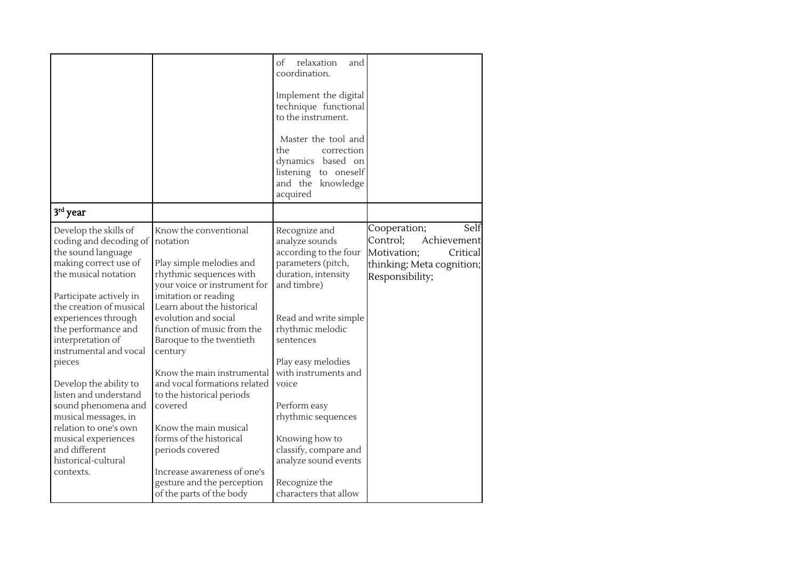|                                                                                                                                                                                                                                                 |                                                                                                                                                                                                                                                                               | relaxation<br>of<br>and<br>coordination.<br>Implement the digital<br>technique functional<br>to the instrument.<br>Master the tool and<br>the<br>correction<br>dynamics based on<br>listening to oneself<br>and the knowledge<br>acquired |                                                                                                                            |
|-------------------------------------------------------------------------------------------------------------------------------------------------------------------------------------------------------------------------------------------------|-------------------------------------------------------------------------------------------------------------------------------------------------------------------------------------------------------------------------------------------------------------------------------|-------------------------------------------------------------------------------------------------------------------------------------------------------------------------------------------------------------------------------------------|----------------------------------------------------------------------------------------------------------------------------|
| $3rd$ year                                                                                                                                                                                                                                      |                                                                                                                                                                                                                                                                               |                                                                                                                                                                                                                                           |                                                                                                                            |
| Develop the skills of<br>coding and decoding of<br>the sound language<br>making correct use of<br>the musical notation<br>Participate actively in<br>the creation of musical<br>experiences through<br>the performance and<br>interpretation of | Know the conventional<br>notation<br>Play simple melodies and<br>rhythmic sequences with<br>your voice or instrument for<br>imitation or reading<br>Learn about the historical<br>evolution and social<br>function of music from the<br>Baroque to the twentieth              | Recognize and<br>analyze sounds<br>according to the four<br>parameters (pitch,<br>duration, intensity<br>and timbre)<br>Read and write simple<br>rhythmic melodic<br>sentences                                                            | Self<br>Cooperation;<br>Control;<br>Achievement<br>Motivation;<br>Critical<br>thinking; Meta cognition;<br>Responsibility; |
| instrumental and vocal<br>pieces<br>Develop the ability to<br>listen and understand<br>sound phenomena and<br>musical messages, in<br>relation to one's own<br>musical experiences<br>and different<br>historical-cultural<br>contexts.         | century<br>Know the main instrumental<br>and vocal formations related<br>to the historical periods<br>covered<br>Know the main musical<br>forms of the historical<br>periods covered<br>Increase awareness of one's<br>gesture and the perception<br>of the parts of the body | Play easy melodies<br>with instruments and<br>voice<br>Perform easy<br>rhythmic sequences<br>Knowing how to<br>classify, compare and<br>analyze sound events<br>Recognize the<br>characters that allow                                    |                                                                                                                            |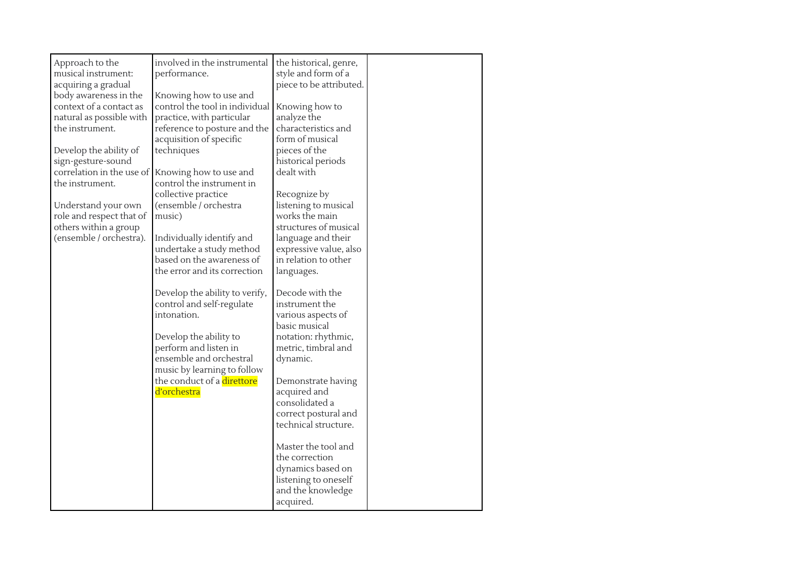| Approach to the<br>musical instrument:<br>acquiring a gradual<br>body awareness in the<br>context of a contact as<br>natural as possible with<br>the instrument.<br>Develop the ability of<br>sign-gesture-sound<br>correlation in the use of<br>the instrument.<br>Understand your own<br>role and respect that of<br>others within a group<br>(ensemble / orchestra). | involved in the instrumental<br>performance.<br>Knowing how to use and<br>control the tool in individual<br>practice, with particular<br>reference to posture and the<br>acquisition of specific<br>techniques<br>Knowing how to use and<br>control the instrument in<br>collective practice<br>(ensemble / orchestra<br>music)<br>Individually identify and<br>undertake a study method<br>based on the awareness of<br>the error and its correction<br>Develop the ability to verify,<br>control and self-regulate<br>intonation.<br>Develop the ability to<br>perform and listen in<br>ensemble and orchestral<br>music by learning to follow<br>the conduct of a direttore<br>d'orchestra | the historical, genre,<br>style and form of a<br>piece to be attributed.<br>Knowing how to<br>analyze the<br>characteristics and<br>form of musical<br>pieces of the<br>historical periods<br>dealt with<br>Recognize by<br>listening to musical<br>works the main<br>structures of musical<br>language and their<br>expressive value, also<br>in relation to other<br>languages.<br>Decode with the<br>instrument the<br>various aspects of<br>basic musical<br>notation: rhythmic,<br>metric, timbral and<br>dynamic.<br>Demonstrate having<br>acquired and<br>consolidated a<br>correct postural and |  |
|-------------------------------------------------------------------------------------------------------------------------------------------------------------------------------------------------------------------------------------------------------------------------------------------------------------------------------------------------------------------------|-----------------------------------------------------------------------------------------------------------------------------------------------------------------------------------------------------------------------------------------------------------------------------------------------------------------------------------------------------------------------------------------------------------------------------------------------------------------------------------------------------------------------------------------------------------------------------------------------------------------------------------------------------------------------------------------------|---------------------------------------------------------------------------------------------------------------------------------------------------------------------------------------------------------------------------------------------------------------------------------------------------------------------------------------------------------------------------------------------------------------------------------------------------------------------------------------------------------------------------------------------------------------------------------------------------------|--|
|                                                                                                                                                                                                                                                                                                                                                                         |                                                                                                                                                                                                                                                                                                                                                                                                                                                                                                                                                                                                                                                                                               | technical structure.                                                                                                                                                                                                                                                                                                                                                                                                                                                                                                                                                                                    |  |
|                                                                                                                                                                                                                                                                                                                                                                         |                                                                                                                                                                                                                                                                                                                                                                                                                                                                                                                                                                                                                                                                                               | Master the tool and<br>the correction<br>dynamics based on<br>listening to oneself<br>and the knowledge<br>acquired.                                                                                                                                                                                                                                                                                                                                                                                                                                                                                    |  |